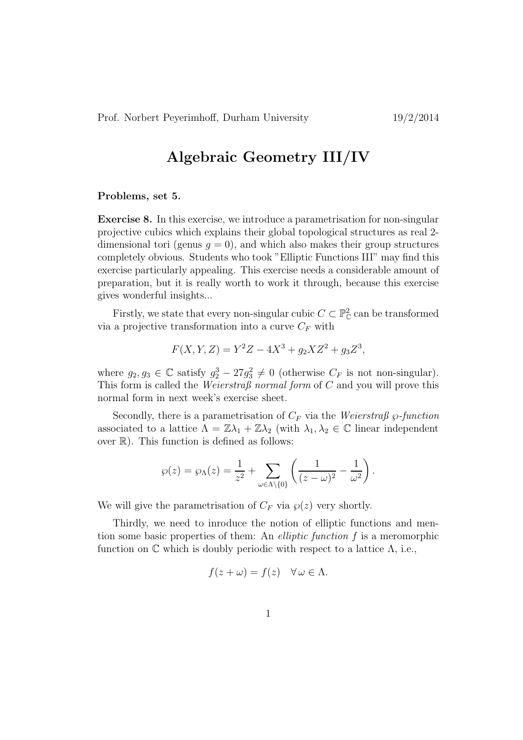## Algebraic Geometry III/IV

## Problems, set 5.

Exercise 8. In this exercise, we introduce a parametrisation for non-singular projective cubics which explains their global topological structures as real 2 dimensional tori (genus  $q = 0$ ), and which also makes their group structures completely obvious. Students who took "Elliptic Functions III" may find this exercise particularly appealing. This exercise needs a considerable amount of preparation, but it is really worth to work it through, because this exercise gives wonderful insights...

Firstly, we state that every non-singular cubic  $C \subset \mathbb{P}_{\mathbb{C}}^2$  can be transformed via a projective transformation into a curve  $C_F$  with

$$
F(X, Y, Z) = Y^2 Z - 4X^3 + g_2 X Z^2 + g_3 Z^3,
$$

where  $g_2, g_3 \in \mathbb{C}$  satisfy  $g_2^3 - 27g_3^2 \neq 0$  (otherwise  $C_F$  is not non-singular). This form is called the *Weierstraß* normal form of  $C$  and you will prove this normal form in next week's exercise sheet.

Secondly, there is a parametrisation of  $C_F$  via the Weierstraß  $\wp\text{-}function$ associated to a lattice  $\Lambda = \mathbb{Z}\lambda_1 + \mathbb{Z}\lambda_2$  (with  $\lambda_1, \lambda_2 \in \mathbb{C}$  linear independent over  $\mathbb{R}$ ). This function is defined as follows:

$$
\wp(z) = \wp_{\Lambda}(z) = \frac{1}{z^2} + \sum_{\omega \in \Lambda \setminus \{0\}} \left( \frac{1}{(z - \omega)^2} - \frac{1}{\omega^2} \right).
$$

We will give the parametrisation of  $C_F$  via  $\wp(z)$  very shortly.

Thirdly, we need to inroduce the notion of elliptic functions and mention some basic properties of them: An *elliptic function*  $f$  is a meromorphic function on  $\mathbb C$  which is doubly periodic with respect to a lattice  $\Lambda$ , i.e.,

$$
f(z + \omega) = f(z) \quad \forall \omega \in \Lambda.
$$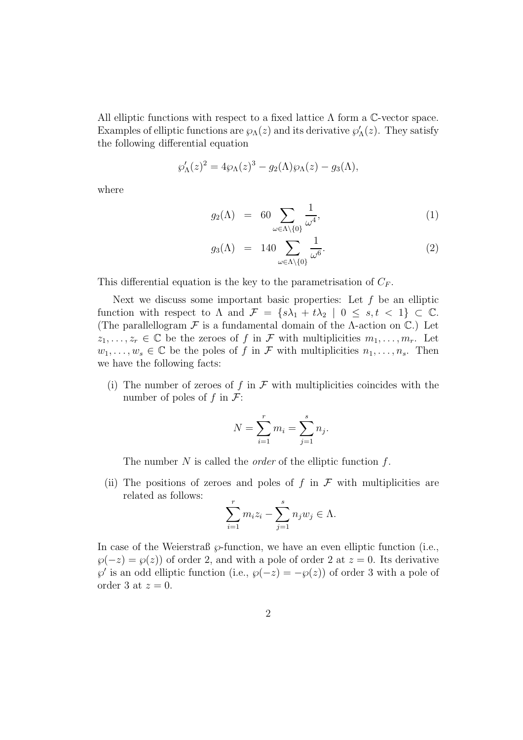All elliptic functions with respect to a fixed lattice  $\Lambda$  form a C-vector space. Examples of elliptic functions are  $\wp_{\Lambda}(z)$  and its derivative  $\wp'_{\Lambda}(z)$ . They satisfy the following differential equation

$$
\wp'_{\Lambda}(z)^2 = 4\wp_{\Lambda}(z)^3 - g_2(\Lambda)\wp_{\Lambda}(z) - g_3(\Lambda),
$$

where

$$
g_2(\Lambda) = 60 \sum_{\omega \in \Lambda \setminus \{0\}} \frac{1}{\omega^4}, \tag{1}
$$

$$
g_3(\Lambda) = 140 \sum_{\omega \in \Lambda \setminus \{0\}} \frac{1}{\omega^6}.
$$
 (2)

This differential equation is the key to the parametrisation of  $C_F$ .

Next we discuss some important basic properties: Let  $f$  be an elliptic function with respect to  $\Lambda$  and  $\mathcal{F} = \{s\lambda_1 + t\lambda_2 \mid 0 \leq s, t < 1\} \subset \mathbb{C}$ . (The parallellogram  $\mathcal F$  is a fundamental domain of the  $\Lambda$ -action on  $\mathbb C$ .) Let  $z_1, \ldots, z_r \in \mathbb{C}$  be the zeroes of f in F with multiplicities  $m_1, \ldots, m_r$ . Let  $w_1, \ldots, w_s \in \mathbb{C}$  be the poles of f in F with multiplicities  $n_1, \ldots, n_s$ . Then we have the following facts:

(i) The number of zeroes of f in  $\mathcal F$  with multiplicities coincides with the number of poles of f in  $\mathcal{F}$ :

$$
N = \sum_{i=1}^{r} m_i = \sum_{j=1}^{s} n_j.
$$

The number N is called the *order* of the elliptic function f.

(ii) The positions of zeroes and poles of f in  $\mathcal F$  with multiplicities are related as follows:

$$
\sum_{i=1}^{r} m_i z_i - \sum_{j=1}^{s} n_j w_j \in \Lambda.
$$

In case of the Weierstraß  $\wp$ -function, we have an even elliptic function (i.e.,  $\wp(-z) = \wp(z)$  of order 2, and with a pole of order 2 at  $z = 0$ . Its derivative  $\wp'$  is an odd elliptic function (i.e.,  $\wp(-z) = -\wp(z)$ ) of order 3 with a pole of order 3 at  $z = 0$ .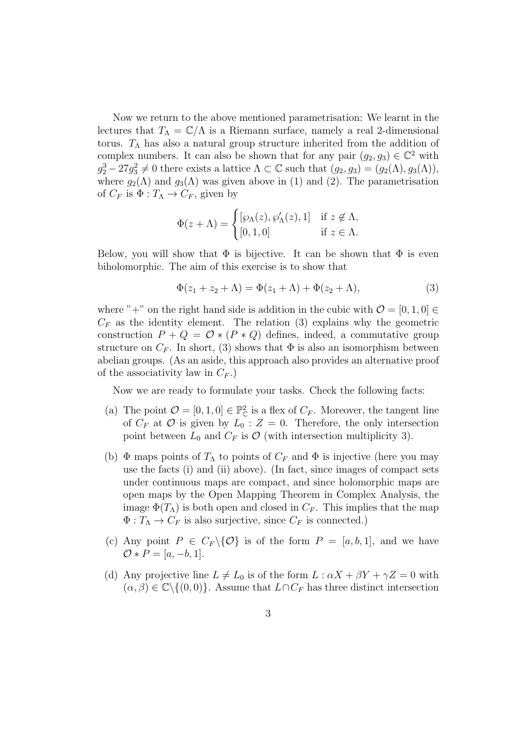Now we return to the above mentioned parametrisation: We learnt in the lectures that  $T_{\Lambda} = \mathbb{C}/\Lambda$  is a Riemann surface, namely a real 2-dimensional torus.  $T_A$  has also a natural group structure inherited from the addition of complex numbers. It can also be shown that for any pair  $(g_2, g_3) \in \mathbb{C}^2$  with  $g_2^3 - 27g_3^2 \neq 0$  there exists a lattice  $\Lambda \subset \mathbb{C}$  such that  $(g_2, g_3) = (g_2(\Lambda), g_3(\Lambda)),$ where  $g_2(\Lambda)$  and  $g_3(\Lambda)$  was given above in (1) and (2). The parametrisation of  $C_F$  is  $\Phi: T_\Lambda \to C_F$ , given by

$$
\Phi(z+\Lambda) = \begin{cases} [\wp_{\Lambda}(z), \wp'_{\Lambda}(z), 1] & \text{if } z \notin \Lambda, \\ [0, 1, 0] & \text{if } z \in \Lambda. \end{cases}
$$

Below, you will show that  $\Phi$  is bijective. It can be shown that  $\Phi$  is even biholomorphic. The aim of this exercise is to show that

$$
\Phi(z_1 + z_2 + \Lambda) = \Phi(z_1 + \Lambda) + \Phi(z_2 + \Lambda),\tag{3}
$$

where "+" on the right hand side is addition in the cubic with  $\mathcal{O} = [0, 1, 0] \in$  $C_F$  as the identity element. The relation (3) explains why the geometric construction  $P + Q = \mathcal{O} * (P * Q)$  defines, indeed, a commutative group structure on  $C_F$ . In short, (3) shows that  $\Phi$  is also an isomorphism between abelian groups. (As an aside, this approach also provides an alternative proof of the associativity law in  $C_F$ .)

Now we are ready to formulate your tasks. Check the following facts:

- (a) The point  $\mathcal{O} = [0, 1, 0] \in \mathbb{P}_{\mathbb{C}}^2$  is a flex of  $C_F$ . Moreover, the tangent line of  $C_F$  at  $\mathcal O$  is given by  $L_0: Z = 0$ . Therefore, the only intersection point between  $L_0$  and  $C_F$  is  $\mathcal O$  (with intersection multiplicity 3).
- (b)  $\Phi$  maps points of  $T_{\Lambda}$  to points of  $C_F$  and  $\Phi$  is injective (here you may use the facts (i) and (ii) above). (In fact, since images of compact sets under continuous maps are compact, and since holomorphic maps are open maps by the Open Mapping Theorem in Complex Analysis, the image  $\Phi(T_\Lambda)$  is both open and closed in  $C_F$ . This implies that the map  $\Phi: T_{\Lambda} \to C_F$  is also surjective, since  $C_F$  is connected.)
- (c) Any point  $P \in C_F \backslash \{ \mathcal{O} \}$  is of the form  $P = [a, b, 1]$ , and we have  $\mathcal{O} * P = [a, -b, 1].$
- (d) Any projective line  $L \neq L_0$  is of the form  $L : \alpha X + \beta Y + \gamma Z = 0$  with  $(\alpha, \beta) \in \mathbb{C} \setminus \{(0, 0)\}.$  Assume that  $L \cap C_F$  has three distinct intersection